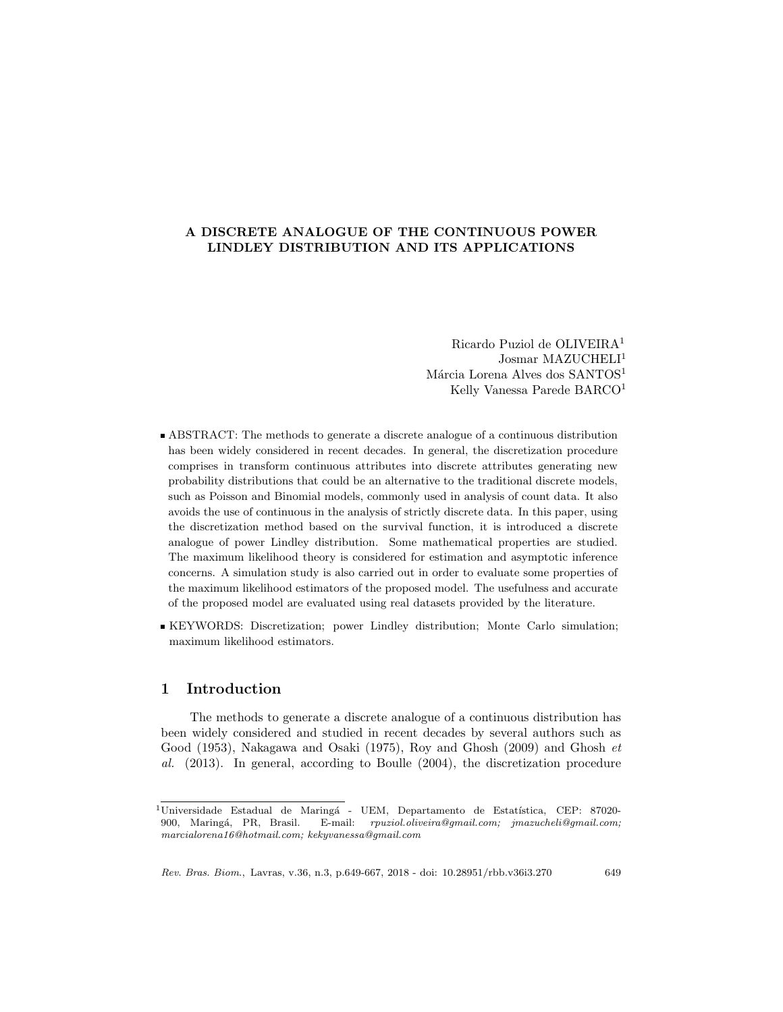### A DISCRETE ANALOGUE OF THE CONTINUOUS POWER LINDLEY DISTRIBUTION AND ITS APPLICATIONS

Ricardo Puziol de OLIVEIRA<sup>1</sup> Josmar MAZUCHELI<sup>1</sup> Márcia Lorena Alves dos SANTOS<sup>1</sup> Kelly Vanessa Parede BARCO<sup>1</sup>

- ABSTRACT: The methods to generate a discrete analogue of a continuous distribution has been widely considered in recent decades. In general, the discretization procedure comprises in transform continuous attributes into discrete attributes generating new probability distributions that could be an alternative to the traditional discrete models, such as Poisson and Binomial models, commonly used in analysis of count data. It also avoids the use of continuous in the analysis of strictly discrete data. In this paper, using the discretization method based on the survival function, it is introduced a discrete analogue of power Lindley distribution. Some mathematical properties are studied. The maximum likelihood theory is considered for estimation and asymptotic inference concerns. A simulation study is also carried out in order to evaluate some properties of the maximum likelihood estimators of the proposed model. The usefulness and accurate of the proposed model are evaluated using real datasets provided by the literature.
- KEYWORDS: Discretization; power Lindley distribution; Monte Carlo simulation; maximum likelihood estimators.

# 1 Introduction

The methods to generate a discrete analogue of a continuous distribution has been widely considered and studied in recent decades by several authors such as Good (1953), Nakagawa and Osaki (1975), Roy and Ghosh (2009) and Ghosh et al. (2013). In general, according to Boulle (2004), the discretization procedure

 $1$ Universidade Estadual de Maringá - UEM, Departamento de Estatística, CEP: 87020-900, Maring´a, PR, Brasil. E-mail: rpuziol.oliveira@gmail.com; jmazucheli@gmail.com; marcialorena16@hotmail.com; kekyvanessa@gmail.com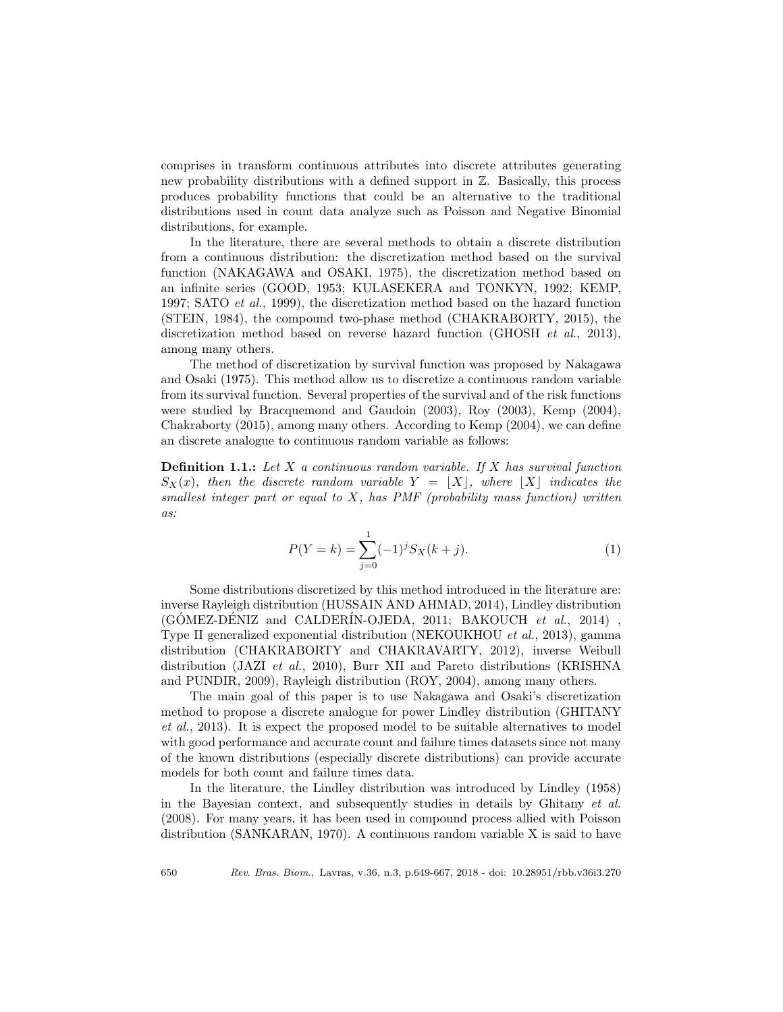comprises in transform continuous attributes into discrete attributes generating new probability distributions with a defined support in Z. Basically, this process produces probability functions that could be an alternative to the traditional distributions used in count data analyze such as Poisson and Negative Binomial distributions, for example.

In the literature, there are several methods to obtain a discrete distribution from a continuous distribution: the discretization method based on the survival function (NAKAGAWA and OSAKI, 1975), the discretization method based on an infinite series (GOOD, 1953; KULASEKERA and TONKYN, 1992; KEMP, 1997; SATO et al., 1999), the discretization method based on the hazard function (STEIN, 1984), the compound two-phase method (CHAKRABORTY, 2015), the discretization method based on reverse hazard function (GHOSH *et al.*, 2013), among many others.

The method of discretization by survival function was proposed by Nakagawa and Osaki (1975). This method allow us to discretize a continuous random variable from its survival function. Several properties of the survival and of the risk functions were studied by Bracquemond and Gaudoin (2003), Roy (2003), Kemp (2004), Chakraborty (2015), among many others. According to Kemp (2004), we can define an discrete analogue to continuous random variable as follows:

**Definition 1.1.:** Let X a continuous random variable. If X has survival function  $S_X(x)$ , then the discrete random variable  $Y = |X|$ , where  $|X|$  indicates the smallest integer part or equal to  $X$ , has PMF (probability mass function) written as:

$$
P(Y=k) = \sum_{j=0}^{1} (-1)^{j} S_{X}(k+j).
$$
 (1)

Some distributions discretized by this method introduced in the literature are: inverse Rayleigh distribution (HUSSAIN AND AHMAD, 2014), Lindley distribution  $(GOMEZ-DENIZ and CALDERIN-OJEDA, 2011; BAKOUCH et al., 2014)$ , Type II generalized exponential distribution (NEKOUKHOU et al., 2013), gamma distribution (CHAKRABORTY and CHAKRAVARTY, 2012), inverse Weibull distribution (JAZI et al., 2010), Burr XII and Pareto distributions (KRISHNA and PUNDIR, 2009), Rayleigh distribution (ROY, 2004), among many others.

The main goal of this paper is to use Nakagawa and Osaki's discretization method to propose a discrete analogue for power Lindley distribution (GHITANY et al., 2013). It is expect the proposed model to be suitable alternatives to model with good performance and accurate count and failure times datasets since not many of the known distributions (especially discrete distributions) can provide accurate models for both count and failure times data.

In the literature, the Lindley distribution was introduced by Lindley (1958) in the Bayesian context, and subsequently studies in details by Ghitany et al. (2008). For many years, it has been used in compound process allied with Poisson distribution (SANKARAN, 1970). A continuous random variable X is said to have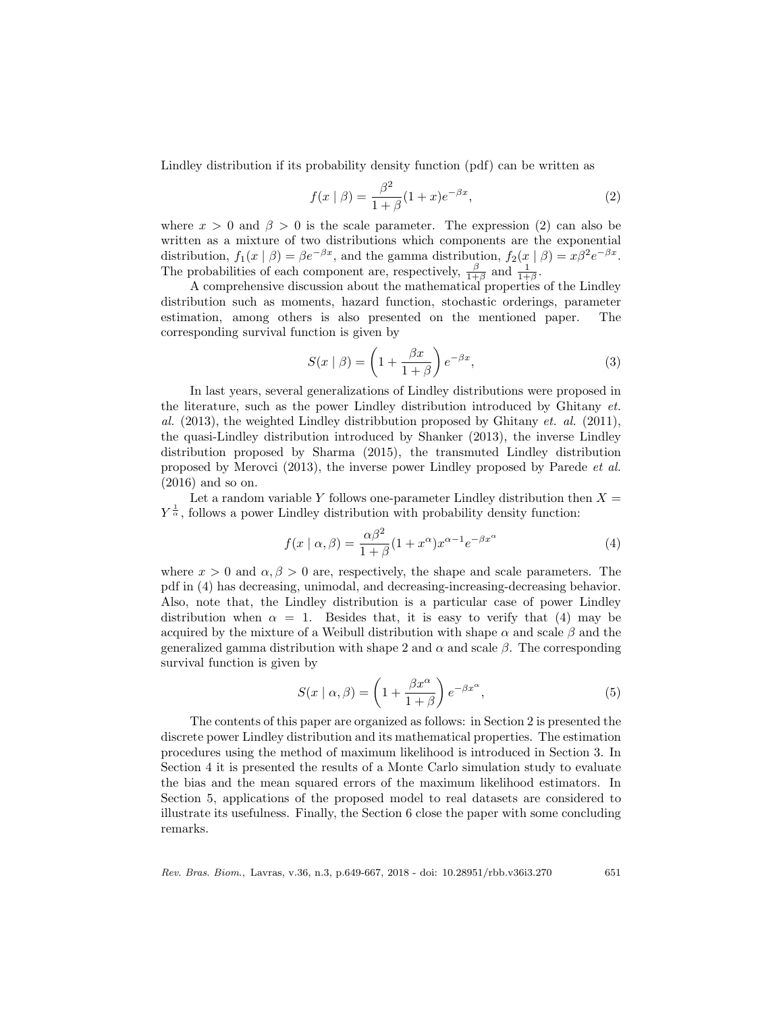Lindley distribution if its probability density function (pdf) can be written as

$$
f(x \mid \beta) = \frac{\beta^2}{1 + \beta} (1 + x) e^{-\beta x},\tag{2}
$$

where  $x > 0$  and  $\beta > 0$  is the scale parameter. The expression (2) can also be written as a mixture of two distributions which components are the exponential distribution,  $f_1(x | \beta) = \beta e^{-\beta x}$ , and the gamma distribution,  $f_2(x | \beta) = x\beta^2 e^{-\beta x}$ . The probabilities of each component are, respectively,  $\frac{\beta}{1+\beta}$  and  $\frac{1}{1+\beta}$ .

A comprehensive discussion about the mathematical properties of the Lindley distribution such as moments, hazard function, stochastic orderings, parameter estimation, among others is also presented on the mentioned paper. The corresponding survival function is given by

$$
S(x \mid \beta) = \left(1 + \frac{\beta x}{1 + \beta}\right) e^{-\beta x},\tag{3}
$$

In last years, several generalizations of Lindley distributions were proposed in the literature, such as the power Lindley distribution introduced by Ghitany et. al.  $(2013)$ , the weighted Lindley distribution proposed by Ghitany *et. al.*  $(2011)$ , the quasi-Lindley distribution introduced by Shanker (2013), the inverse Lindley distribution proposed by Sharma (2015), the transmuted Lindley distribution proposed by Merovci (2013), the inverse power Lindley proposed by Parede et al. (2016) and so on.

Let a random variable Y follows one-parameter Lindley distribution then  $X =$  $Y^{\frac{1}{\alpha}}$ , follows a power Lindley distribution with probability density function:

$$
f(x \mid \alpha, \beta) = \frac{\alpha \beta^2}{1 + \beta} (1 + x^{\alpha}) x^{\alpha - 1} e^{-\beta x^{\alpha}}
$$
 (4)

where  $x > 0$  and  $\alpha, \beta > 0$  are, respectively, the shape and scale parameters. The pdf in (4) has decreasing, unimodal, and decreasing-increasing-decreasing behavior. Also, note that, the Lindley distribution is a particular case of power Lindley distribution when  $\alpha = 1$ . Besides that, it is easy to verify that (4) may be acquired by the mixture of a Weibull distribution with shape  $\alpha$  and scale  $\beta$  and the generalized gamma distribution with shape 2 and  $\alpha$  and scale  $\beta$ . The corresponding survival function is given by

$$
S(x \mid \alpha, \beta) = \left(1 + \frac{\beta x^{\alpha}}{1 + \beta}\right) e^{-\beta x^{\alpha}},\tag{5}
$$

The contents of this paper are organized as follows: in Section 2 is presented the discrete power Lindley distribution and its mathematical properties. The estimation procedures using the method of maximum likelihood is introduced in Section 3. In Section 4 it is presented the results of a Monte Carlo simulation study to evaluate the bias and the mean squared errors of the maximum likelihood estimators. In Section 5, applications of the proposed model to real datasets are considered to illustrate its usefulness. Finally, the Section 6 close the paper with some concluding remarks.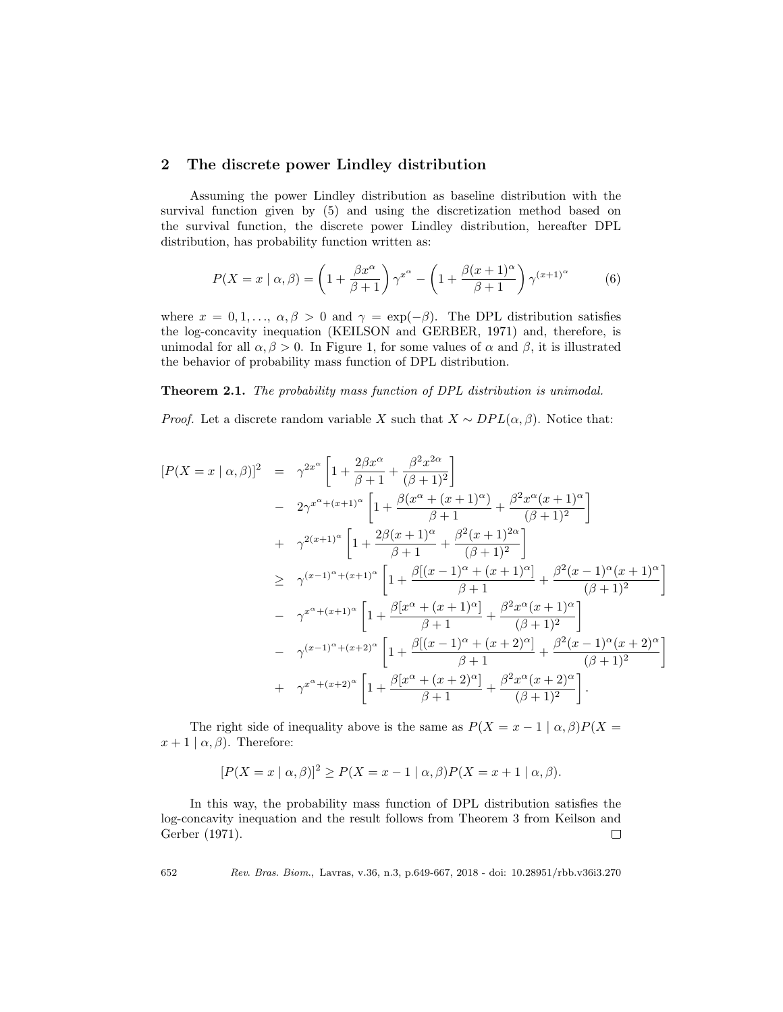### 2 The discrete power Lindley distribution

Assuming the power Lindley distribution as baseline distribution with the survival function given by (5) and using the discretization method based on the survival function, the discrete power Lindley distribution, hereafter DPL distribution, has probability function written as:

$$
P(X = x \mid \alpha, \beta) = \left(1 + \frac{\beta x^{\alpha}}{\beta + 1}\right) \gamma^{x^{\alpha}} - \left(1 + \frac{\beta(x+1)^{\alpha}}{\beta + 1}\right) \gamma^{(x+1)^{\alpha}} \tag{6}
$$

where  $x = 0, 1, \ldots, \alpha, \beta > 0$  and  $\gamma = \exp(-\beta)$ . The DPL distribution satisfies the log-concavity inequation (KEILSON and GERBER, 1971) and, therefore, is unimodal for all  $\alpha, \beta > 0$ . In Figure 1, for some values of  $\alpha$  and  $\beta$ , it is illustrated the behavior of probability mass function of DPL distribution.

Theorem 2.1. The probability mass function of DPL distribution is unimodal.

*Proof.* Let a discrete random variable X such that  $X \sim DPL(\alpha, \beta)$ . Notice that:

$$
[P(X = x | \alpha, \beta)]^{2} = \gamma^{2x^{\alpha}} \left[ 1 + \frac{2\beta x^{\alpha}}{\beta + 1} + \frac{\beta^{2}x^{2\alpha}}{(\beta + 1)^{2}} \right]
$$
  
\n
$$
- 2\gamma^{x^{\alpha} + (x+1)^{\alpha}} \left[ 1 + \frac{\beta(x^{\alpha} + (x+1)^{\alpha})}{\beta + 1} + \frac{\beta^{2}x^{\alpha}(x+1)^{\alpha}}{(\beta + 1)^{2}} \right]
$$
  
\n
$$
+ \gamma^{2(x+1)^{\alpha}} \left[ 1 + \frac{2\beta(x+1)^{\alpha}}{\beta + 1} + \frac{\beta^{2}(x+1)^{2\alpha}}{(\beta + 1)^{2}} \right]
$$
  
\n
$$
\geq \gamma^{(x-1)^{\alpha} + (x+1)^{\alpha}} \left[ 1 + \frac{\beta[(x-1)^{\alpha} + (x+1)^{\alpha}]}{\beta + 1} + \frac{\beta^{2}(x-1)^{\alpha}(x+1)^{\alpha}}{(\beta + 1)^{2}} \right]
$$
  
\n
$$
- \gamma^{x^{\alpha} + (x+1)^{\alpha}} \left[ 1 + \frac{\beta[x^{\alpha} + (x+1)^{\alpha}]}{\beta + 1} + \frac{\beta^{2}x^{\alpha}(x+1)^{\alpha}}{(\beta + 1)^{2}} \right]
$$
  
\n
$$
- \gamma^{(x-1)^{\alpha} + (x+2)^{\alpha}} \left[ 1 + \frac{\beta[(x-1)^{\alpha} + (x+2)^{\alpha}]}{\beta + 1} + \frac{\beta^{2}(x-1)^{\alpha}(x+2)^{\alpha}}{(\beta + 1)^{2}} \right]
$$
  
\n
$$
+ \gamma^{x^{\alpha} + (x+2)^{\alpha}} \left[ 1 + \frac{\beta[x^{\alpha} + (x+2)^{\alpha}]}{\beta + 1} + \frac{\beta^{2}x^{\alpha}(x+2)^{\alpha}}{(\beta + 1)^{2}} \right].
$$

The right side of inequality above is the same as  $P(X = x - 1 | \alpha, \beta)P(X =$  $x+1 | \alpha, \beta$ . Therefore:

$$
[P(X = x \mid \alpha, \beta)]^{2} \ge P(X = x - 1 \mid \alpha, \beta)P(X = x + 1 \mid \alpha, \beta).
$$

In this way, the probability mass function of DPL distribution satisfies the log-concavity inequation and the result follows from Theorem 3 from Keilson and Gerber (1971).  $\Box$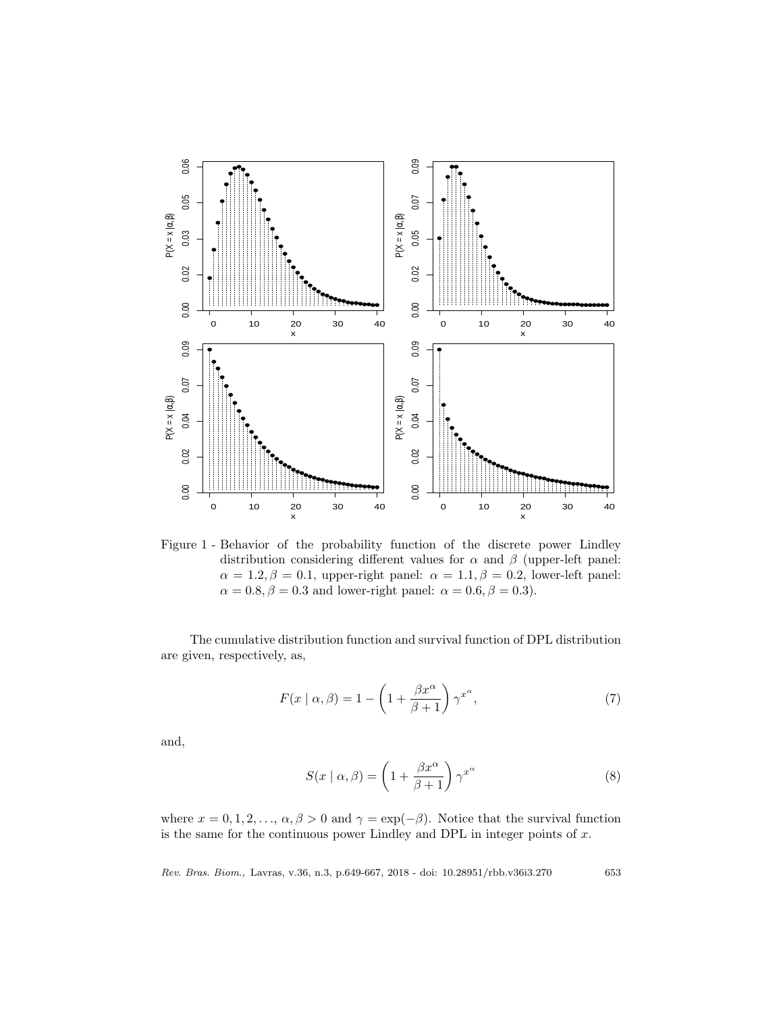

Figure 1 - Behavior of the probability function of the discrete power Lindley distribution considering different values for  $\alpha$  and  $\beta$  (upper-left panel:  $\alpha = 1.2, \beta = 0.1$ , upper-right panel:  $\alpha = 1.1, \beta = 0.2$ , lower-left panel:  $\alpha = 0.8, \beta = 0.3$  and lower-right panel:  $\alpha = 0.6, \beta = 0.3$ .

The cumulative distribution function and survival function of DPL distribution are given, respectively, as,

$$
F(x \mid \alpha, \beta) = 1 - \left(1 + \frac{\beta x^{\alpha}}{\beta + 1}\right) \gamma^{x^{\alpha}},\tag{7}
$$

and,

$$
S(x \mid \alpha, \beta) = \left(1 + \frac{\beta x^{\alpha}}{\beta + 1}\right) \gamma^{x^{\alpha}}
$$
 (8)

where  $x = 0, 1, 2, \ldots, \alpha, \beta > 0$  and  $\gamma = \exp(-\beta)$ . Notice that the survival function is the same for the continuous power Lindley and DPL in integer points of  $x$ .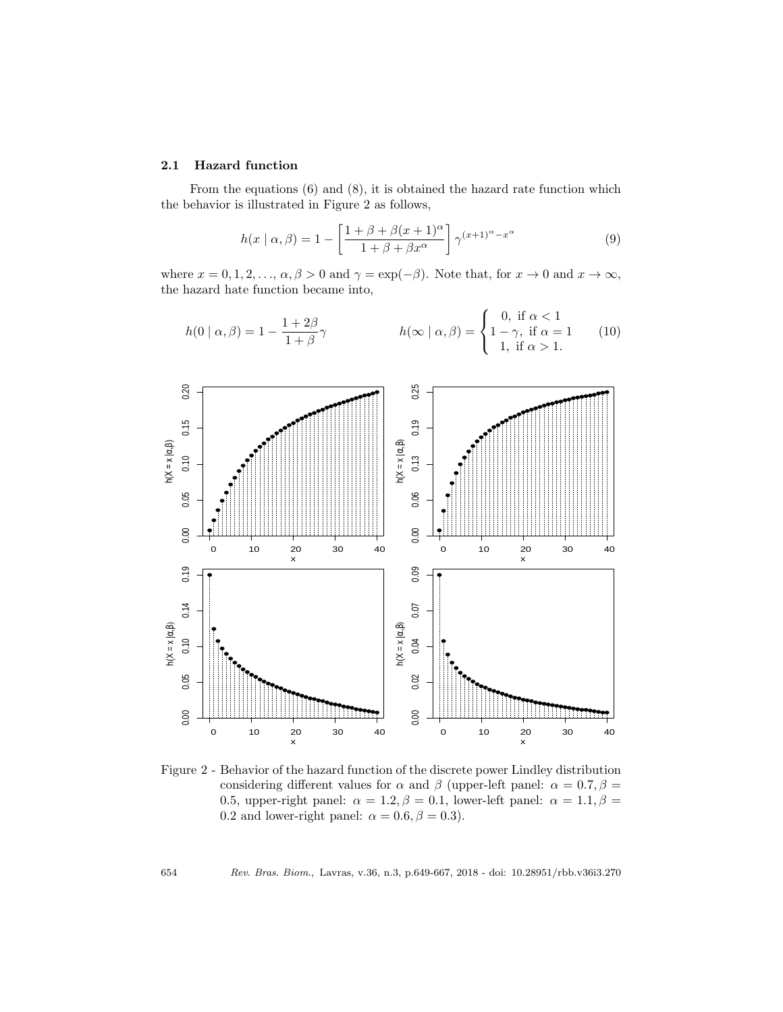#### 2.1 Hazard function

From the equations (6) and (8), it is obtained the hazard rate function which the behavior is illustrated in Figure 2 as follows,

$$
h(x \mid \alpha, \beta) = 1 - \left[ \frac{1 + \beta + \beta(x + 1)^{\alpha}}{1 + \beta + \beta x^{\alpha}} \right] \gamma^{(x+1)^{\alpha} - x^{\alpha}}
$$
(9)

where  $x = 0, 1, 2, \ldots, \alpha, \beta > 0$  and  $\gamma = \exp(-\beta)$ . Note that, for  $x \to 0$  and  $x \to \infty$ , the hazard hate function became into,

$$
h(0 | \alpha, \beta) = 1 - \frac{1 + 2\beta}{1 + \beta} \gamma
$$
\n
$$
h(\infty | \alpha, \beta) = \begin{cases} 0, & \text{if } \alpha < 1 \\ 1 - \gamma, & \text{if } \alpha = 1 \\ 1, & \text{if } \alpha > 1. \end{cases}
$$
\n
$$
(10)
$$



Figure 2 - Behavior of the hazard function of the discrete power Lindley distribution considering different values for  $\alpha$  and  $\beta$  (upper-left panel:  $\alpha = 0.7, \beta =$ 0.5, upper-right panel:  $\alpha = 1.2, \beta = 0.1$ , lower-left panel:  $\alpha = 1.1, \beta =$ 0.2 and lower-right panel:  $\alpha = 0.6, \beta = 0.3$ .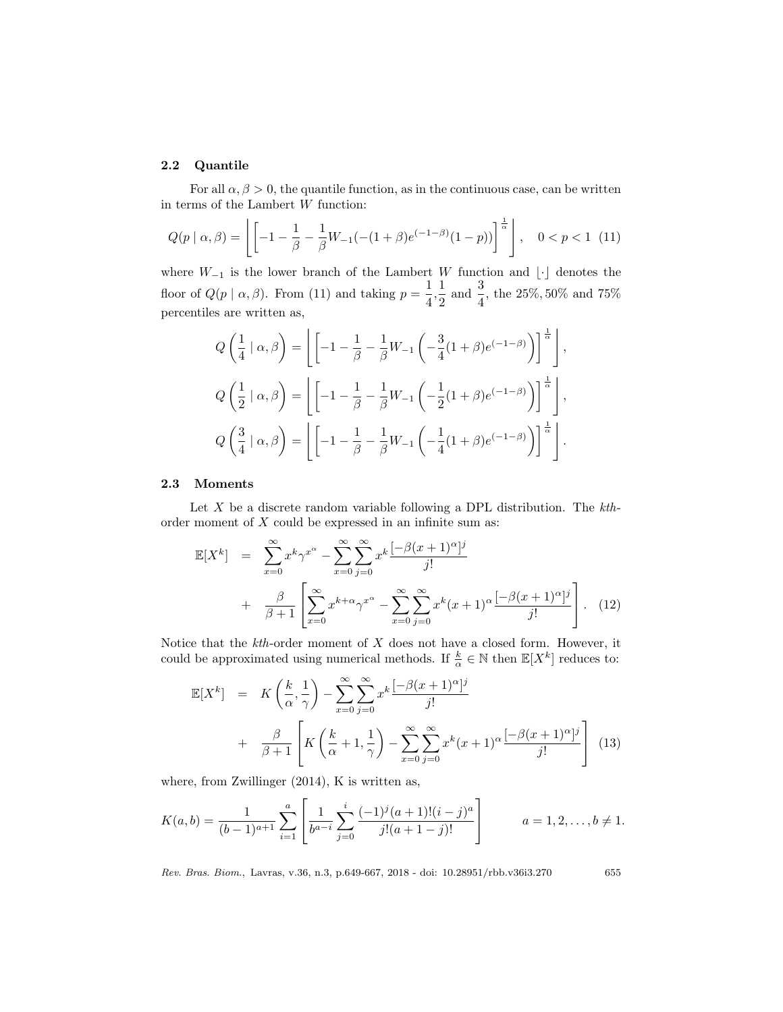### 2.2 Quantile

For all  $\alpha, \beta > 0$ , the quantile function, as in the continuous case, can be written in terms of the Lambert  $\boldsymbol{W}$  function:

$$
Q(p \mid \alpha, \beta) = \left[ \left[ -1 - \frac{1}{\beta} - \frac{1}{\beta} W_{-1}(-(1+\beta)e^{(-1-\beta)}(1-p)) \right]^{\frac{1}{\alpha}} \right], \quad 0 < p < 1 \tag{11}
$$

where  $W_{-1}$  is the lower branch of the Lambert W function and  $\lvert \cdot \rvert$  denotes the floor of  $Q(p | \alpha, \beta)$ . From (11) and taking  $p = \frac{1}{4}$  $\frac{1}{4}, \frac{1}{2}$  $\frac{1}{2}$  and  $\frac{3}{4}$ , the 25%, 50% and 75% percentiles are written as,

$$
Q\left(\frac{1}{4} \mid \alpha, \beta\right) = \left[\left[-1 - \frac{1}{\beta} - \frac{1}{\beta}W_{-1}\left(-\frac{3}{4}(1+\beta)e^{(-1-\beta)}\right)\right]^{\frac{1}{\alpha}}\right],
$$
  
\n
$$
Q\left(\frac{1}{2} \mid \alpha, \beta\right) = \left[\left[-1 - \frac{1}{\beta} - \frac{1}{\beta}W_{-1}\left(-\frac{1}{2}(1+\beta)e^{(-1-\beta)}\right)\right]^{\frac{1}{\alpha}}\right],
$$
  
\n
$$
Q\left(\frac{3}{4} \mid \alpha, \beta\right) = \left[\left[-1 - \frac{1}{\beta} - \frac{1}{\beta}W_{-1}\left(-\frac{1}{4}(1+\beta)e^{(-1-\beta)}\right)\right]^{\frac{1}{\alpha}}\right].
$$

#### 2.3 Moments

Let  $X$  be a discrete random variable following a DPL distribution. The  $kth$ order moment of  $X$  could be expressed in an infinite sum as:

$$
\mathbb{E}[X^k] = \sum_{x=0}^{\infty} x^k \gamma^{x^{\alpha}} - \sum_{x=0}^{\infty} \sum_{j=0}^{\infty} x^k \frac{[-\beta(x+1)^{\alpha}]^j}{j!} + \frac{\beta}{\beta+1} \left[ \sum_{x=0}^{\infty} x^{k+\alpha} \gamma^{x^{\alpha}} - \sum_{x=0}^{\infty} \sum_{j=0}^{\infty} x^k (x+1)^{\alpha} \frac{[-\beta(x+1)^{\alpha}]^j}{j!} \right].
$$
 (12)

Notice that the  $kth$ -order moment of  $X$  does not have a closed form. However, it could be approximated using numerical methods. If  $\frac{k}{\alpha} \in \mathbb{N}$  then  $\mathbb{E}[X^k]$  reduces to:

$$
\mathbb{E}[X^k] = K\left(\frac{k}{\alpha}, \frac{1}{\gamma}\right) - \sum_{x=0}^{\infty} \sum_{j=0}^{\infty} x^k \frac{[-\beta(x+1)^\alpha]^j}{j!} + \frac{\beta}{\beta+1} \left[ K\left(\frac{k}{\alpha}+1, \frac{1}{\gamma}\right) - \sum_{x=0}^{\infty} \sum_{j=0}^{\infty} x^k (x+1)^\alpha \frac{[-\beta(x+1)^\alpha]^j}{j!} \right] (13)
$$

where, from Zwillinger  $(2014)$ , K is written as,

$$
K(a,b) = \frac{1}{(b-1)^{a+1}} \sum_{i=1}^{a} \left[ \frac{1}{b^{a-i}} \sum_{j=0}^{i} \frac{(-1)^j (a+1)!(i-j)^a}{j!(a+1-j)!} \right] \qquad a = 1,2,\ldots, b \neq 1.
$$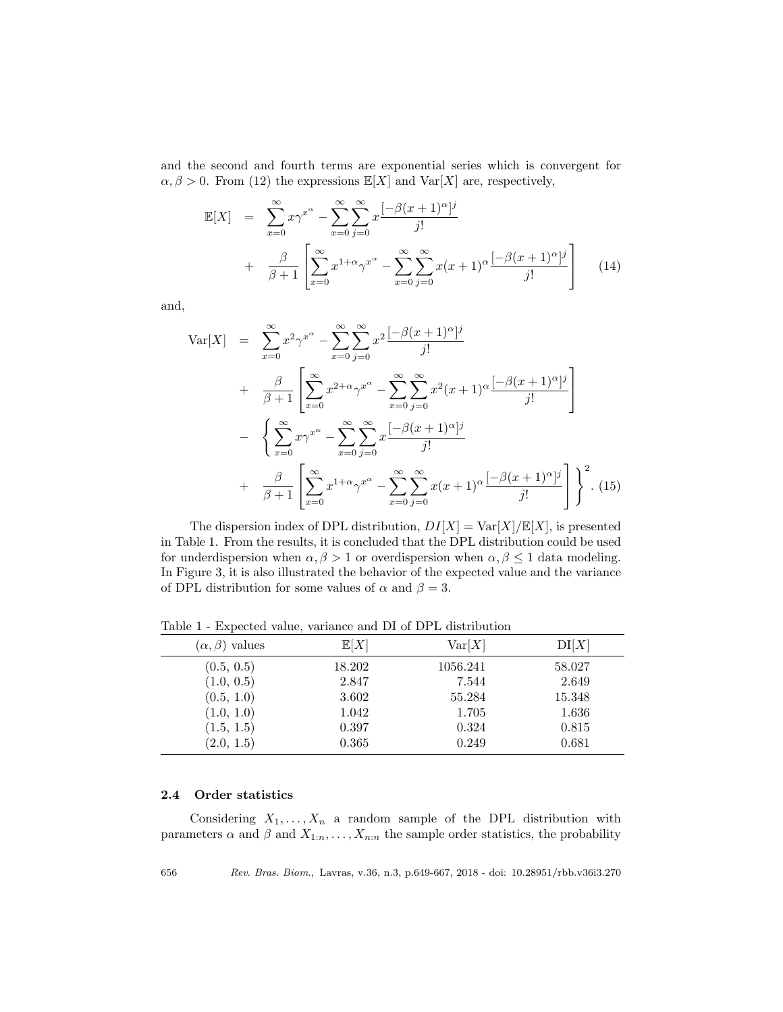and the second and fourth terms are exponential series which is convergent for  $\alpha, \beta > 0$ . From (12) the expressions  $\mathbb{E}[X]$  and  $\text{Var}[X]$  are, respectively,

$$
\mathbb{E}[X] = \sum_{x=0}^{\infty} x \gamma^{x^{\alpha}} - \sum_{x=0}^{\infty} \sum_{j=0}^{\infty} x \frac{[-\beta(x+1)^{\alpha}]^{j}}{j!}
$$
  
+ 
$$
\frac{\beta}{\beta+1} \left[ \sum_{x=0}^{\infty} x^{1+\alpha} \gamma^{x^{\alpha}} - \sum_{x=0}^{\infty} \sum_{j=0}^{\infty} x(x+1)^{\alpha} \frac{[-\beta(x+1)^{\alpha}]^{j}}{j!} \right]
$$
(14)

and,

$$
\begin{split}\n\text{Var}[X] &= \sum_{x=0}^{\infty} x^2 \gamma^{x^{\alpha}} - \sum_{x=0}^{\infty} \sum_{j=0}^{\infty} x^2 \frac{[-\beta(x+1)^{\alpha}]^j}{j!} \\
&+ \frac{\beta}{\beta+1} \left[ \sum_{x=0}^{\infty} x^{2+\alpha} \gamma^{x^{\alpha}} - \sum_{x=0}^{\infty} \sum_{j=0}^{\infty} x^2 (x+1)^{\alpha} \frac{[-\beta(x+1)^{\alpha}]^j}{j!} \right] \\
&- \left\{ \sum_{x=0}^{\infty} x \gamma^{x^{\alpha}} - \sum_{x=0}^{\infty} \sum_{j=0}^{\infty} x \frac{[-\beta(x+1)^{\alpha}]^j}{j!} \right. \\
&+ \frac{\beta}{\beta+1} \left[ \sum_{x=0}^{\infty} x^{1+\alpha} \gamma^{x^{\alpha}} - \sum_{x=0}^{\infty} \sum_{j=0}^{\infty} x (x+1)^{\alpha} \frac{[-\beta(x+1)^{\alpha}]^j}{j!} \right] \right\}^2. \n\end{split}
$$

The dispersion index of DPL distribution,  $DI[X] = Var[X]/E[X]$ , is presented in Table 1. From the results, it is concluded that the DPL distribution could be used for underdispersion when  $\alpha, \beta > 1$  or overdispersion when  $\alpha, \beta \leq 1$  data modeling. In Figure 3, it is also illustrated the behavior of the expected value and the variance of DPL distribution for some values of  $\alpha$  and  $\beta = 3$ .

| $(\alpha, \beta)$ values | E[X]   | Var[X]   | DI[X]  |
|--------------------------|--------|----------|--------|
| (0.5, 0.5)               | 18.202 | 1056.241 | 58.027 |
| (1.0, 0.5)               | 2.847  | 7.544    | 2.649  |
| (0.5, 1.0)               | 3.602  | 55.284   | 15.348 |
| (1.0, 1.0)               | 1.042  | 1.705    | 1.636  |
| (1.5, 1.5)               | 0.397  | 0.324    | 0.815  |
| (2.0, 1.5)               | 0.365  | 0.249    | 0.681  |

Table 1 - Expected value, variance and DI of DPL distribution

#### 2.4 Order statistics

Considering  $X_1, \ldots, X_n$  a random sample of the DPL distribution with parameters  $\alpha$  and  $\beta$  and  $X_{1:n}, \ldots, X_{n:n}$  the sample order statistics, the probability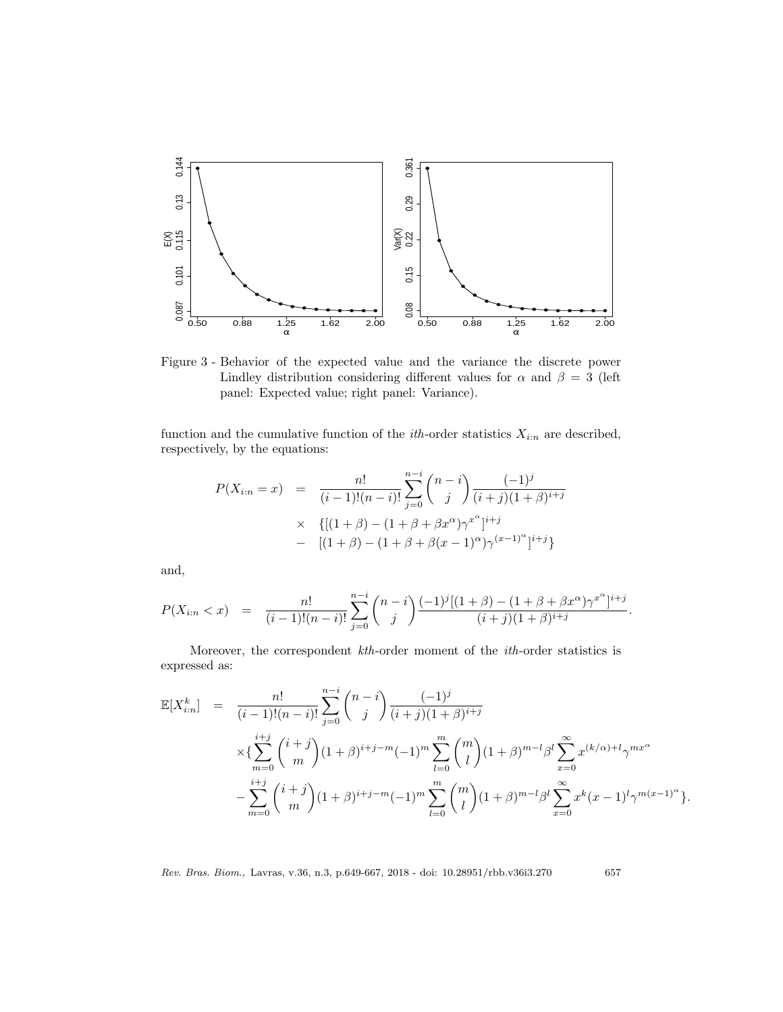

Figure 3 - Behavior of the expected value and the variance the discrete power Lindley distribution considering different values for  $\alpha$  and  $\beta = 3$  (left panel: Expected value; right panel: Variance).

function and the cumulative function of the *ith*-order statistics  $X_{i:n}$  are described, respectively, by the equations:

$$
P(X_{i:n} = x) = \frac{n!}{(i-1)!(n-i)!} \sum_{j=0}^{n-i} {n-i \choose j} \frac{(-1)^j}{(i+j)(1+\beta)^{i+j}}
$$
  
 
$$
\times \{[(1+\beta)-(1+\beta+\beta x^{\alpha})\gamma^{x^{\alpha}}]^{i+j} - [(1+\beta)-(1+\beta+\beta(x-1)^{\alpha})\gamma^{(x-1)^{\alpha}}]^{i+j}\}
$$

and,

$$
P(X_{i:n} < x) = \frac{n!}{(i-1)!(n-i)!} \sum_{j=0}^{n-i} \binom{n-i}{j} \frac{(-1)^j[(1+\beta)-(1+\beta+\beta x^{\alpha})\gamma^{x^{\alpha}}]^{i+j}}{(i+j)(1+\beta)^{i+j}}.
$$

Moreover, the correspondent kth-order moment of the ith-order statistics is expressed as:

$$
\mathbb{E}[X_{i:n}^k] = \frac{n!}{(i-1)!(n-i)!} \sum_{j=0}^{n-i} {n-i \choose j} \frac{(-1)^j}{(i+j)(1+\beta)^{i+j}}
$$
  
 
$$
\times \left\{ \sum_{m=0}^{i+j} {i+j \choose m} (1+\beta)^{i+j-m} (-1)^m \sum_{l=0}^m {m \choose l} (1+\beta)^{m-l} \beta^l \sum_{x=0}^{\infty} x^{(k/\alpha)+l} \gamma^{mx^{\alpha}} - \sum_{m=0}^{i+j} {i+j \choose m} (1+\beta)^{i+j-m} (-1)^m \sum_{l=0}^m {m \choose l} (1+\beta)^{m-l} \beta^l \sum_{x=0}^{\infty} x^k (x-1)^l \gamma^{m(x-1)^{\alpha}} \right\}.
$$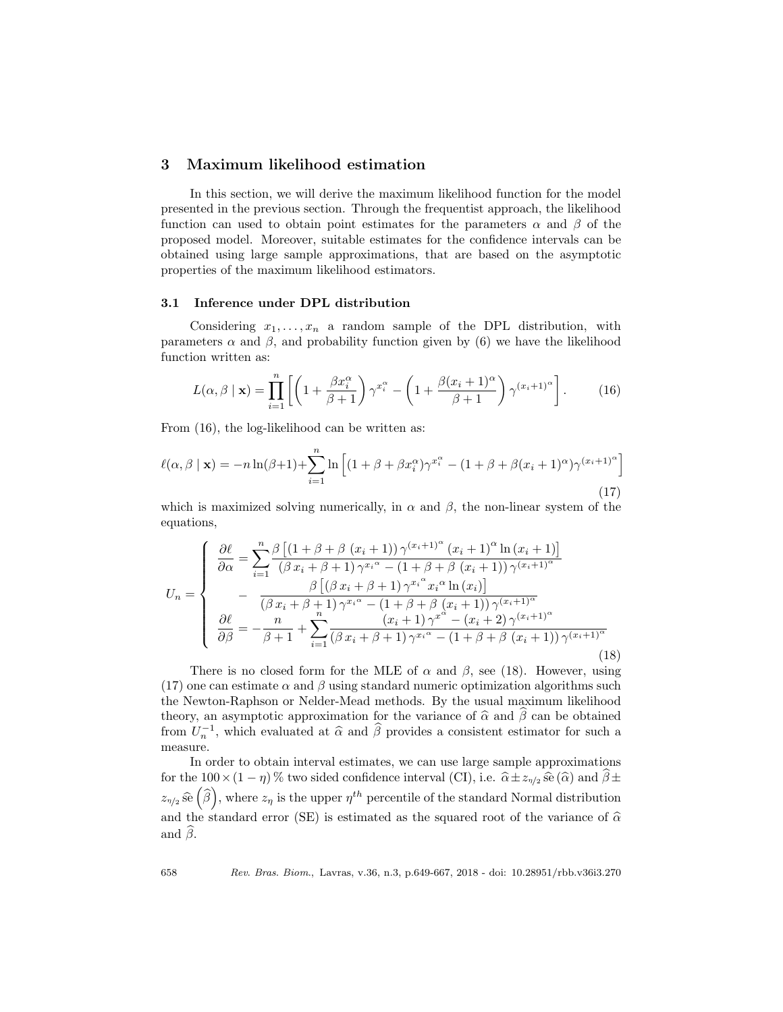### 3 Maximum likelihood estimation

In this section, we will derive the maximum likelihood function for the model presented in the previous section. Through the frequentist approach, the likelihood function can used to obtain point estimates for the parameters  $\alpha$  and  $\beta$  of the proposed model. Moreover, suitable estimates for the confidence intervals can be obtained using large sample approximations, that are based on the asymptotic properties of the maximum likelihood estimators.

#### 3.1 Inference under DPL distribution

Considering  $x_1, \ldots, x_n$  a random sample of the DPL distribution, with parameters  $\alpha$  and  $\beta$ , and probability function given by (6) we have the likelihood function written as:

$$
L(\alpha, \beta \mid \mathbf{x}) = \prod_{i=1}^{n} \left[ \left( 1 + \frac{\beta x_i^{\alpha}}{\beta + 1} \right) \gamma^{x_i^{\alpha}} - \left( 1 + \frac{\beta (x_i + 1)^{\alpha}}{\beta + 1} \right) \gamma^{(x_i + 1)^{\alpha}} \right].
$$
 (16)

From (16), the log-likelihood can be written as:

$$
\ell(\alpha, \beta \mid \mathbf{x}) = -n \ln(\beta + 1) + \sum_{i=1}^{n} \ln \left[ (1 + \beta + \beta x_i^{\alpha}) \gamma^{x_i^{\alpha}} - (1 + \beta + \beta (x_i + 1)^{\alpha}) \gamma^{(x_i + 1)^{\alpha}} \right]
$$
\n(17)

which is maximized solving numerically, in  $\alpha$  and  $\beta$ , the non-linear system of the equations,

$$
U_{n} = \begin{cases} \n\frac{\partial \ell}{\partial \alpha} = \sum_{i=1}^{n} \frac{\beta \left[ (1 + \beta + \beta \left( x_{i} + 1 \right)) \gamma^{(x_{i}+1)^{\alpha}} \left( x_{i} + 1 \right)^{\alpha} \ln \left( x_{i} + 1 \right) \right]}{(\beta \, x_{i} + \beta + 1) \, \gamma^{x_{i}^{\alpha}} - (1 + \beta + \beta \left( x_{i} + 1 \right)) \, \gamma^{(x_{i}+1)^{\alpha}}} \\ \n-\frac{\beta \left[ (\beta \, x_{i} + \beta + 1) \, \gamma^{x_{i}^{\alpha}} x_{i}^{\alpha} \ln \left( x_{i} \right) \right]}{(\beta \, x_{i} + \beta + 1) \, \gamma^{x_{i}^{\alpha}} - (1 + \beta + \beta \left( x_{i} + 1 \right)) \, \gamma^{(x_{i}+1)^{\alpha}}} \\ \n\frac{\partial \ell}{\partial \beta} = -\frac{n}{\beta + 1} + \sum_{i=1}^{n} \frac{(x_{i} + 1) \, \gamma^{x_{i}^{\alpha}} - (x_{i} + 2) \, \gamma^{(x_{i}+1)^{\alpha}}}{(\beta \, x_{i} + \beta + 1) \, \gamma^{x_{i}^{\alpha}} - (1 + \beta + \beta \left( x_{i} + 1 \right)) \, \gamma^{(x_{i}+1)^{\alpha}}} \n\end{cases} \n\tag{18}
$$

There is no closed form for the MLE of  $\alpha$  and  $\beta$ , see (18). However, using (17) one can estimate  $\alpha$  and  $\beta$  using standard numeric optimization algorithms such the Newton-Raphson or Nelder-Mead methods. By the usual maximum likelihood theory, an asymptotic approximation for the variance of  $\hat{\alpha}$  and  $\hat{\beta}$  can be obtained from  $U_n^{-1}$ , which evaluated at  $\hat{\alpha}$  and  $\hat{\beta}$  provides a consistent estimator for such a moneuro measure.

In order to obtain interval estimates, we can use large sample approximations for the 100 × (1 − η) % two sided confidence interval (CI), i.e.  $\hat{\alpha} \pm z_{\eta/2} \hat{\mathfrak{se}} (\hat{\alpha})$  and  $\beta \pm$  $z_{\eta/2}$  se  $(\widehat{\beta})$ , where  $z_{\eta}$  is the upper  $\eta^{th}$  percentile of the standard Normal distribution and the standard error (SE) is estimated as the squared root of the variance of  $\hat{\alpha}$ and  $\beta$ .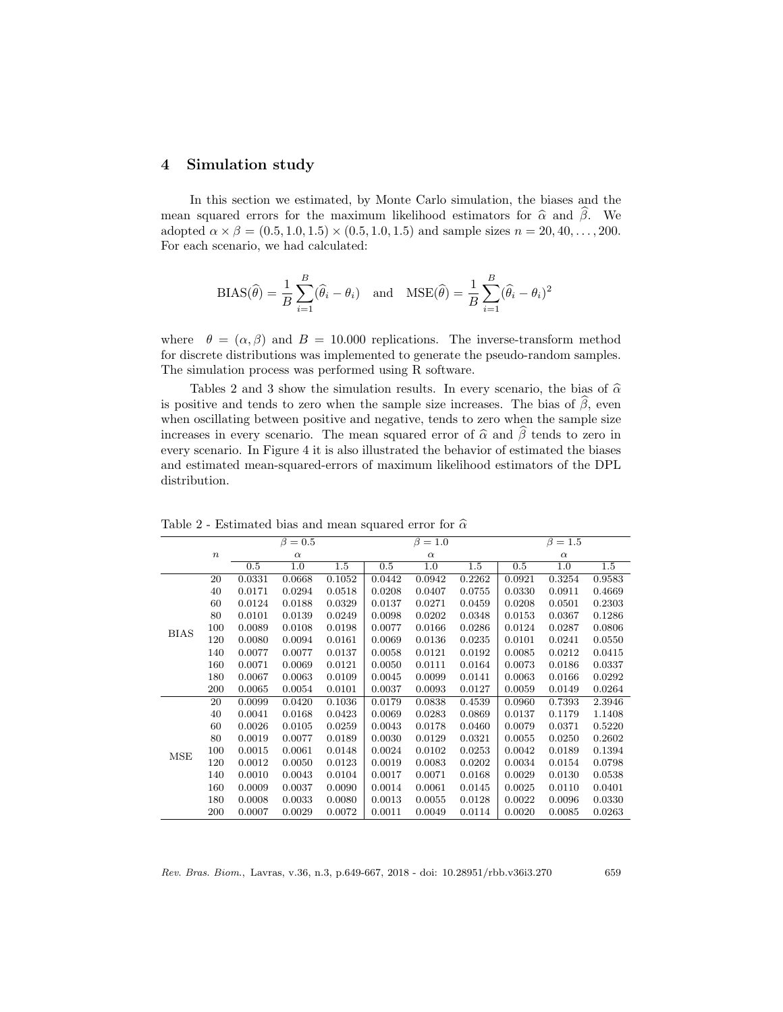### 4 Simulation study

In this section we estimated, by Monte Carlo simulation, the biases and the mean squared errors for the maximum likelihood estimators for  $\hat{\alpha}$  and  $\beta$ . We adopted  $\alpha \times \beta = (0.5, 1.0, 1.5) \times (0.5, 1.0, 1.5)$  and sample sizes  $n = 20, 40, \ldots, 200$ . For each scenario, we had calculated:

$$
BIAS(\hat{\theta}) = \frac{1}{B} \sum_{i=1}^{B} (\hat{\theta}_i - \theta_i) \text{ and } MSE(\hat{\theta}) = \frac{1}{B} \sum_{i=1}^{B} (\hat{\theta}_i - \theta_i)^2
$$

where  $\theta = (\alpha, \beta)$  and  $B = 10.000$  replications. The inverse-transform method for discrete distributions was implemented to generate the pseudo-random samples. The simulation process was performed using R software.

Tables 2 and 3 show the simulation results. In every scenario, the bias of  $\hat{\alpha}$ is positive and tends to zero when the sample size increases. The bias of  $\hat{\beta}$ , even when oscillating between positive and negative, tends to zero when the sample size increases in every scenario. The mean squared error of  $\hat{\alpha}$  and  $\hat{\beta}$  tends to zero in every scenario. In Figure 4 it is also illustrated the behavior of estimated the biases and estimated mean-squared-errors of maximum likelihood estimators of the DPL distribution.

|             | $\beta=0.5$      |        |          |        | $\beta=1.0$ |          |         | $\beta=1.5$ |          |        |  |
|-------------|------------------|--------|----------|--------|-------------|----------|---------|-------------|----------|--------|--|
|             | $\boldsymbol{n}$ |        | $\alpha$ |        |             | $\alpha$ |         |             | $\alpha$ |        |  |
|             |                  | 0.5    | 1.0      | 1.5    | 0.5         | 1.0      | $1.5\,$ | 0.5         | 1.0      | 1.5    |  |
|             | 20               | 0.0331 | 0.0668   | 0.1052 | 0.0442      | 0.0942   | 0.2262  | 0.0921      | 0.3254   | 0.9583 |  |
|             | 40               | 0.0171 | 0.0294   | 0.0518 | 0.0208      | 0.0407   | 0.0755  | 0.0330      | 0.0911   | 0.4669 |  |
|             | 60               | 0.0124 | 0.0188   | 0.0329 | 0.0137      | 0.0271   | 0.0459  | 0.0208      | 0.0501   | 0.2303 |  |
|             | 80               | 0.0101 | 0.0139   | 0.0249 | 0.0098      | 0.0202   | 0.0348  | 0.0153      | 0.0367   | 0.1286 |  |
| <b>BIAS</b> | 100              | 0.0089 | 0.0108   | 0.0198 | 0.0077      | 0.0166   | 0.0286  | 0.0124      | 0.0287   | 0.0806 |  |
|             | 120              | 0.0080 | 0.0094   | 0.0161 | 0.0069      | 0.0136   | 0.0235  | 0.0101      | 0.0241   | 0.0550 |  |
|             | 140              | 0.0077 | 0.0077   | 0.0137 | 0.0058      | 0.0121   | 0.0192  | 0.0085      | 0.0212   | 0.0415 |  |
|             | 160              | 0.0071 | 0.0069   | 0.0121 | 0.0050      | 0.0111   | 0.0164  | 0.0073      | 0.0186   | 0.0337 |  |
|             | 180              | 0.0067 | 0.0063   | 0.0109 | 0.0045      | 0.0099   | 0.0141  | 0.0063      | 0.0166   | 0.0292 |  |
|             | 200              | 0.0065 | 0.0054   | 0.0101 | 0.0037      | 0.0093   | 0.0127  | 0.0059      | 0.0149   | 0.0264 |  |
|             | 20               | 0.0099 | 0.0420   | 0.1036 | 0.0179      | 0.0838   | 0.4539  | 0.0960      | 0.7393   | 2.3946 |  |
|             | 40               | 0.0041 | 0.0168   | 0.0423 | 0.0069      | 0.0283   | 0.0869  | 0.0137      | 0.1179   | 1.1408 |  |
|             | 60               | 0.0026 | 0.0105   | 0.0259 | 0.0043      | 0.0178   | 0.0460  | 0.0079      | 0.0371   | 0.5220 |  |
|             | 80               | 0.0019 | 0.0077   | 0.0189 | 0.0030      | 0.0129   | 0.0321  | 0.0055      | 0.0250   | 0.2602 |  |
| <b>MSE</b>  | 100              | 0.0015 | 0.0061   | 0.0148 | 0.0024      | 0.0102   | 0.0253  | 0.0042      | 0.0189   | 0.1394 |  |
|             | 120              | 0.0012 | 0.0050   | 0.0123 | 0.0019      | 0.0083   | 0.0202  | 0.0034      | 0.0154   | 0.0798 |  |
|             | 140              | 0.0010 | 0.0043   | 0.0104 | 0.0017      | 0.0071   | 0.0168  | 0.0029      | 0.0130   | 0.0538 |  |
|             | 160              | 0.0009 | 0.0037   | 0.0090 | 0.0014      | 0.0061   | 0.0145  | 0.0025      | 0.0110   | 0.0401 |  |
|             | 180              | 0.0008 | 0.0033   | 0.0080 | 0.0013      | 0.0055   | 0.0128  | 0.0022      | 0.0096   | 0.0330 |  |
|             | 200              | 0.0007 | 0.0029   | 0.0072 | 0.0011      | 0.0049   | 0.0114  | 0.0020      | 0.0085   | 0.0263 |  |

Table 2 - Estimated bias and mean squared error for  $\hat{\alpha}$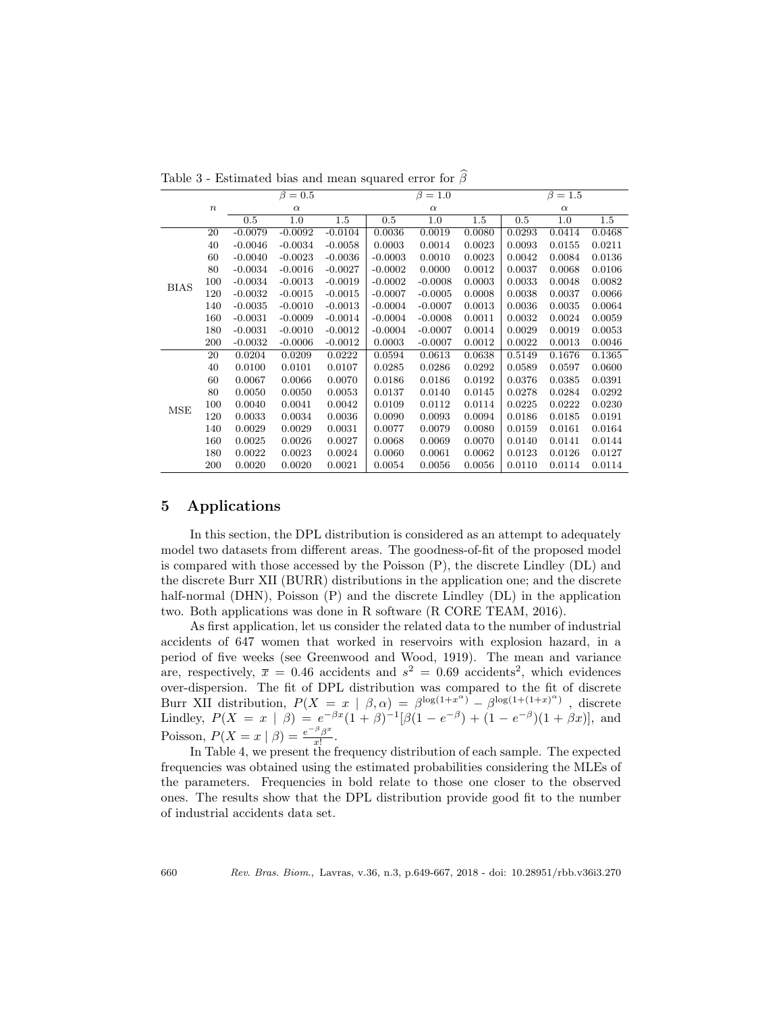|             |                  |           | $\beta=0.5$      |           |           | $\beta=1.0$      |        |          | $\beta=1.5$      |        |  |
|-------------|------------------|-----------|------------------|-----------|-----------|------------------|--------|----------|------------------|--------|--|
|             | $\boldsymbol{n}$ |           | $\alpha$         |           |           | $\alpha$         |        | $\alpha$ |                  |        |  |
|             |                  | 0.5       | $\overline{1.0}$ | 1.5       | 0.5       | $\overline{1.0}$ | 1.5    | 0.5      | $\overline{1.0}$ | 1.5    |  |
|             | 20               | $-0.0079$ | $-0.0092$        | $-0.0104$ | 0.0036    | 0.0019           | 0.0080 | 0.0293   | 0.0414           | 0.0468 |  |
|             | 40               | $-0.0046$ | $-0.0034$        | $-0.0058$ | 0.0003    | 0.0014           | 0.0023 | 0.0093   | 0.0155           | 0.0211 |  |
|             | 60               | $-0.0040$ | $-0.0023$        | $-0.0036$ | $-0.0003$ | 0.0010           | 0.0023 | 0.0042   | 0.0084           | 0.0136 |  |
|             | 80               | $-0.0034$ | $-0.0016$        | $-0.0027$ | $-0.0002$ | 0.0000           | 0.0012 | 0.0037   | 0.0068           | 0.0106 |  |
|             | 100              | $-0.0034$ | $-0.0013$        | $-0.0019$ | $-0.0002$ | $-0.0008$        | 0.0003 | 0.0033   | 0.0048           | 0.0082 |  |
| <b>BIAS</b> | 120              | $-0.0032$ | $-0.0015$        | $-0.0015$ | $-0.0007$ | $-0.0005$        | 0.0008 | 0.0038   | 0.0037           | 0.0066 |  |
|             | 140              | $-0.0035$ | $-0.0010$        | $-0.0013$ | $-0.0004$ | $-0.0007$        | 0.0013 | 0.0036   | 0.0035           | 0.0064 |  |
|             | 160              | $-0.0031$ | $-0.0009$        | $-0.0014$ | $-0.0004$ | $-0.0008$        | 0.0011 | 0.0032   | 0.0024           | 0.0059 |  |
|             | 180              | $-0.0031$ | $-0.0010$        | $-0.0012$ | $-0.0004$ | $-0.0007$        | 0.0014 | 0.0029   | 0.0019           | 0.0053 |  |
|             | 200              | $-0.0032$ | $-0.0006$        | $-0.0012$ | 0.0003    | $-0.0007$        | 0.0012 | 0.0022   | 0.0013           | 0.0046 |  |
|             | 20               | 0.0204    | 0.0209           | 0.0222    | 0.0594    | 0.0613           | 0.0638 | 0.5149   | 0.1676           | 0.1365 |  |
|             | 40               | 0.0100    | 0.0101           | 0.0107    | 0.0285    | 0.0286           | 0.0292 | 0.0589   | 0.0597           | 0.0600 |  |
|             | 60               | 0.0067    | 0.0066           | 0.0070    | 0.0186    | 0.0186           | 0.0192 | 0.0376   | 0.0385           | 0.0391 |  |
|             | 80               | 0.0050    | 0.0050           | 0.0053    | 0.0137    | 0.0140           | 0.0145 | 0.0278   | 0.0284           | 0.0292 |  |
| MSE         | 100              | 0.0040    | 0.0041           | 0.0042    | 0.0109    | 0.0112           | 0.0114 | 0.0225   | 0.0222           | 0.0230 |  |
|             | 120              | 0.0033    | 0.0034           | 0.0036    | 0.0090    | 0.0093           | 0.0094 | 0.0186   | 0.0185           | 0.0191 |  |
|             | 140              | 0.0029    | 0.0029           | 0.0031    | 0.0077    | 0.0079           | 0.0080 | 0.0159   | 0.0161           | 0.0164 |  |
|             | 160              | 0.0025    | 0.0026           | 0.0027    | 0.0068    | 0.0069           | 0.0070 | 0.0140   | 0.0141           | 0.0144 |  |
|             | 180              | 0.0022    | 0.0023           | 0.0024    | 0.0060    | 0.0061           | 0.0062 | 0.0123   | 0.0126           | 0.0127 |  |
|             | 200              | 0.0020    | 0.0020           | 0.0021    | 0.0054    | 0.0056           | 0.0056 | 0.0110   | 0.0114           | 0.0114 |  |

Table 3 - Estimated bias and mean squared error for  $\widehat{\beta}$ 

### 5 Applications

In this section, the DPL distribution is considered as an attempt to adequately model two datasets from different areas. The goodness-of-fit of the proposed model is compared with those accessed by the Poisson (P), the discrete Lindley (DL) and the discrete Burr XII (BURR) distributions in the application one; and the discrete half-normal (DHN), Poisson (P) and the discrete Lindley (DL) in the application two. Both applications was done in R software (R CORE TEAM, 2016).

As first application, let us consider the related data to the number of industrial accidents of 647 women that worked in reservoirs with explosion hazard, in a period of five weeks (see Greenwood and Wood, 1919). The mean and variance are, respectively,  $\bar{x} = 0.46$  accidents and  $s^2 = 0.69$  accidents<sup>2</sup>, which evidences over-dispersion. The fit of DPL distribution was compared to the fit of discrete Burr XII distribution,  $P(X = x | \beta, \alpha) = \beta^{\log(1+x^{\alpha})} - \beta^{\log(1+(1+x)^{\alpha})}$ , discrete Lindley,  $P(X = x | \beta) = e^{-\beta x}(1 + \beta)^{-1}[\beta(1 - e^{-\beta}) + (1 - e^{-\beta})(1 + \beta x)],$  and Poisson,  $P(X = x | \beta) = \frac{e^{-\beta} \beta^x}{x!}$  $\frac{1}{x!}$ .

In Table 4, we present the frequency distribution of each sample. The expected frequencies was obtained using the estimated probabilities considering the MLEs of the parameters. Frequencies in bold relate to those one closer to the observed ones. The results show that the DPL distribution provide good fit to the number of industrial accidents data set.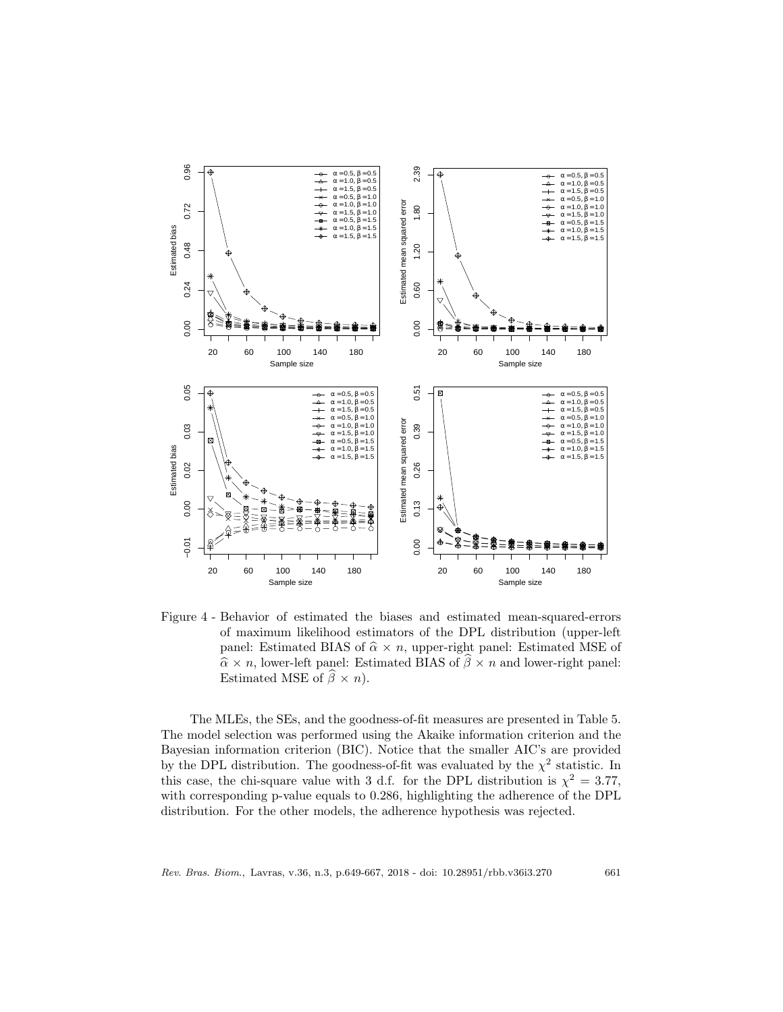

Figure 4 - Behavior of estimated the biases and estimated mean-squared-errors of maximum likelihood estimators of the DPL distribution (upper-left panel: Estimated BIAS of  $\hat{\alpha} \times n$ , upper-right panel: Estimated MSE of  $\hat{\alpha} \times n$ , lower-left panel: Estimated BIAS of  $\hat{\beta} \times n$  and lower-right panel: Estimated MSE of  $\hat{\beta} \times n$ .

The MLEs, the SEs, and the goodness-of-fit measures are presented in Table 5. The model selection was performed using the Akaike information criterion and the Bayesian information criterion (BIC). Notice that the smaller AIC's are provided by the DPL distribution. The goodness-of-fit was evaluated by the  $\chi^2$  statistic. In this case, the chi-square value with 3 d.f. for the DPL distribution is  $\chi^2 = 3.77$ , with corresponding p-value equals to 0.286, highlighting the adherence of the DPL distribution. For the other models, the adherence hypothesis was rejected.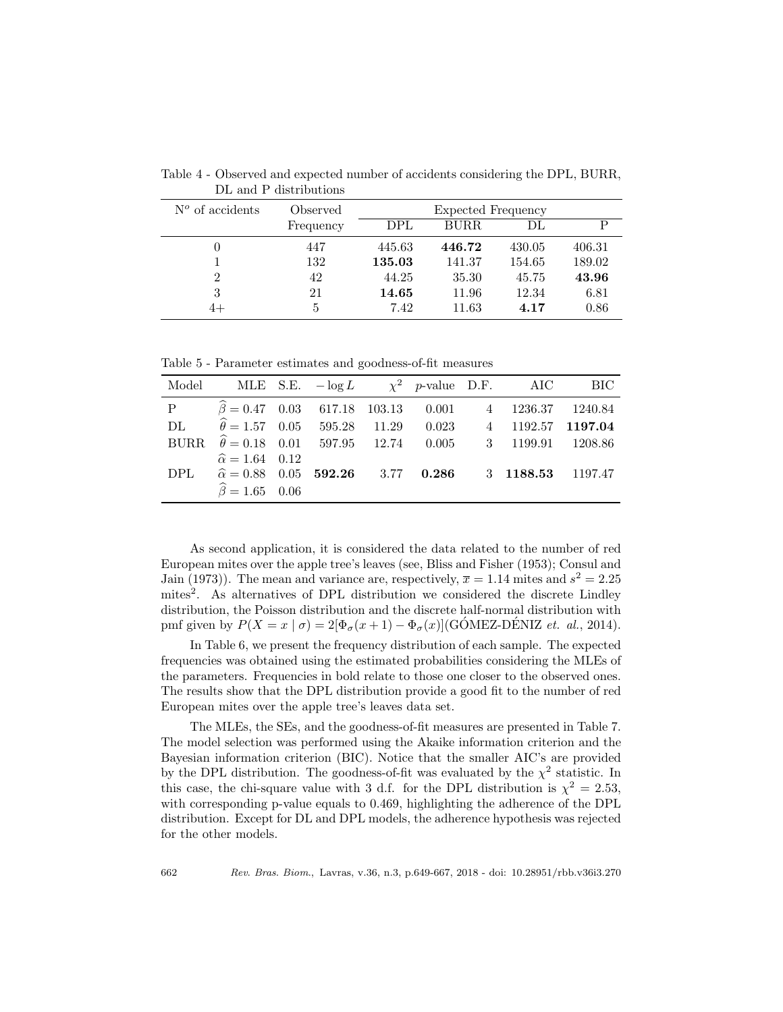| $N^{\circ}$ of accidents | Observed  | Expected Frequency |        |        |        |  |  |
|--------------------------|-----------|--------------------|--------|--------|--------|--|--|
|                          | Frequency | DPL                | BURR.  | DL     | P      |  |  |
|                          | 447       | 445.63             | 446.72 | 430.05 | 406.31 |  |  |
|                          | 132       | 135.03             | 141.37 | 154.65 | 189.02 |  |  |
| 2                        | 42        | 44.25              | 35.30  | 45.75  | 43.96  |  |  |
| 3                        | 21        | 14.65              | 11.96  | 12.34  | 6.81   |  |  |
|                          | 5.        | 7.42               | 11.63  | 4.17   | 0.86   |  |  |

Table 4 - Observed and expected number of accidents considering the DPL, BURR, DL and P distributions

Table 5 - Parameter estimates and goodness-of-fit measures

|             | Model MLE S.E. $-\log L$ $\chi^2$ p-value D.F. AIC BIC                                                       |  |  |  |  |
|-------------|--------------------------------------------------------------------------------------------------------------|--|--|--|--|
|             | P $\hat{\beta} = 0.47$ 0.03 617.18 103.13 0.001 4 1236.37 1240.84                                            |  |  |  |  |
|             | DL $\hat{\theta} = 1.57 \quad 0.05 \quad 595.28 \quad 11.29 \quad 0.023 \quad 4 \quad 1192.57 \quad 1197.04$ |  |  |  |  |
| <b>BURR</b> | $\hat{\theta} = 0.18$ 0.01 597.95 12.74 0.005 3 1199.91 1208.86                                              |  |  |  |  |
|             | $\hat{\alpha} = 1.64$ 0.12                                                                                   |  |  |  |  |
|             | DPL $\hat{\alpha} = 0.88$ 0.05 <b>592.26</b> 3.77 0.286 3 1188.53 1197.47                                    |  |  |  |  |
|             | $\hat{\beta} = 1.65$ 0.06                                                                                    |  |  |  |  |

As second application, it is considered the data related to the number of red European mites over the apple tree's leaves (see, Bliss and Fisher (1953); Consul and Jain (1973)). The mean and variance are, respectively,  $\bar{x} = 1.14$  mites and  $s^2 = 2.25$ mites<sup>2</sup>. As alternatives of DPL distribution we considered the discrete Lindley distribution, the Poisson distribution and the discrete half-normal distribution with pmf given by  $P(X = x | \sigma) = 2[\Phi_{\sigma}(x+1) - \Phi_{\sigma}(x)]$ (GÓMEZ-DÉNIZ *et. al.*, 2014).

In Table 6, we present the frequency distribution of each sample. The expected frequencies was obtained using the estimated probabilities considering the MLEs of the parameters. Frequencies in bold relate to those one closer to the observed ones. The results show that the DPL distribution provide a good fit to the number of red European mites over the apple tree's leaves data set.

The MLEs, the SEs, and the goodness-of-fit measures are presented in Table 7. The model selection was performed using the Akaike information criterion and the Bayesian information criterion (BIC). Notice that the smaller AIC's are provided by the DPL distribution. The goodness-of-fit was evaluated by the  $\chi^2$  statistic. In this case, the chi-square value with 3 d.f. for the DPL distribution is  $\chi^2 = 2.53$ , with corresponding p-value equals to 0.469, highlighting the adherence of the DPL distribution. Except for DL and DPL models, the adherence hypothesis was rejected for the other models.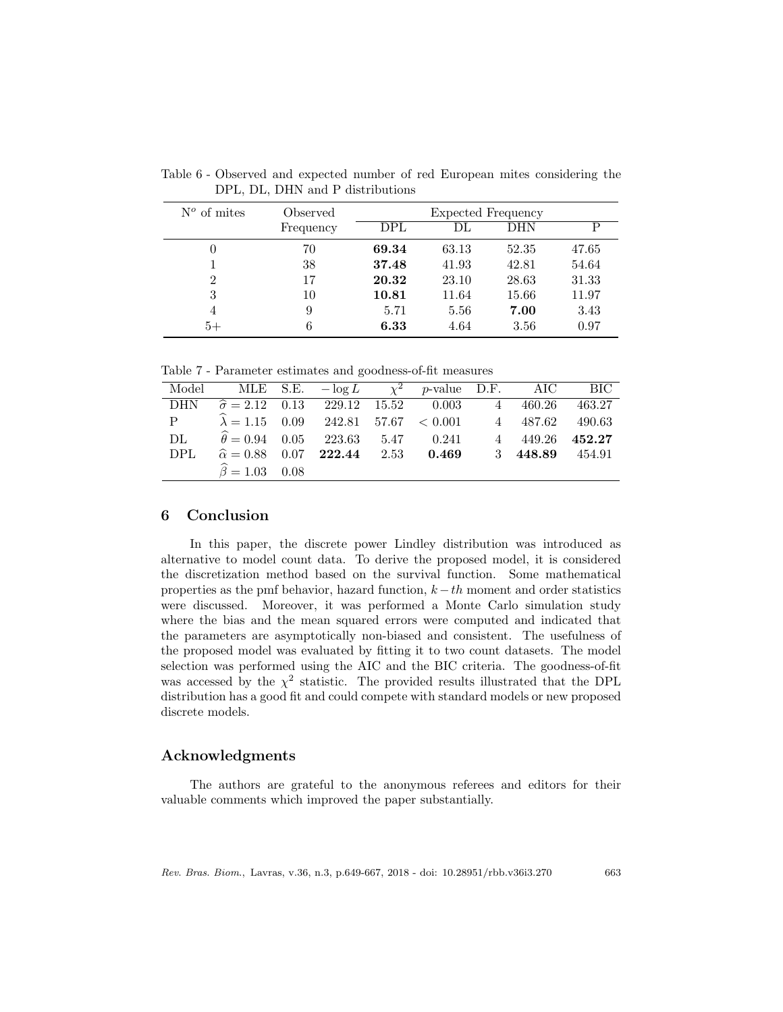| $N^{\circ}$ of mites | Observed  |       | Expected Frequency |       |       |  |  |
|----------------------|-----------|-------|--------------------|-------|-------|--|--|
|                      | Frequency | DPL   | DL                 | DHN   | D     |  |  |
| $\theta$             | 70        | 69.34 | 63.13              | 52.35 | 47.65 |  |  |
|                      | 38        | 37.48 | 41.93              | 42.81 | 54.64 |  |  |
| $\overline{2}$       | 17        | 20.32 | 23.10              | 28.63 | 31.33 |  |  |
| 3                    | 10        | 10.81 | 11.64              | 15.66 | 11.97 |  |  |
| 4                    | 9         | 5.71  | 5.56               | 7.00  | 3.43  |  |  |
| $5+$                 | 6         | 6.33  | 4.64               | 3.56  | 0.97  |  |  |

Table 6 - Observed and expected number of red European mites considering the DPL, DL, DHN and P distributions

Table 7 - Parameter estimates and goodness-of-fit measures

| Model |                                                                  |  | MLE S.E. $-\log L$ $\chi^2$ p-value D.F. AIC BIC |                 |        |
|-------|------------------------------------------------------------------|--|--------------------------------------------------|-----------------|--------|
| DHN   | $\hat{\sigma} = 2.12$ 0.13 229.12 15.52 0.003 4 460.26           |  |                                                  |                 | 463.27 |
| P     | $\hat{\lambda} = 1.15$ 0.09 242.81 57.67 < 0.001 4 487.62 490.63 |  |                                                  |                 |        |
| DL    | $\hat{\theta} = 0.94$ $0.05$ 223.63   5.47 $0.241$               |  |                                                  | 4 449.26 452.27 |        |
| DPL.  |                                                                  |  | $\hat{\alpha} = 0.88$ 0.07 222.44 2.53 0.469     | 3 448.89 454.91 |        |
|       | $\hat{\beta} = 1.03$ 0.08                                        |  |                                                  |                 |        |

# 6 Conclusion

In this paper, the discrete power Lindley distribution was introduced as alternative to model count data. To derive the proposed model, it is considered the discretization method based on the survival function. Some mathematical properties as the pmf behavior, hazard function,  $k - th$  moment and order statistics were discussed. Moreover, it was performed a Monte Carlo simulation study where the bias and the mean squared errors were computed and indicated that the parameters are asymptotically non-biased and consistent. The usefulness of the proposed model was evaluated by fitting it to two count datasets. The model selection was performed using the AIC and the BIC criteria. The goodness-of-fit was accessed by the  $\chi^2$  statistic. The provided results illustrated that the DPL distribution has a good fit and could compete with standard models or new proposed discrete models.

### Acknowledgments

The authors are grateful to the anonymous referees and editors for their valuable comments which improved the paper substantially.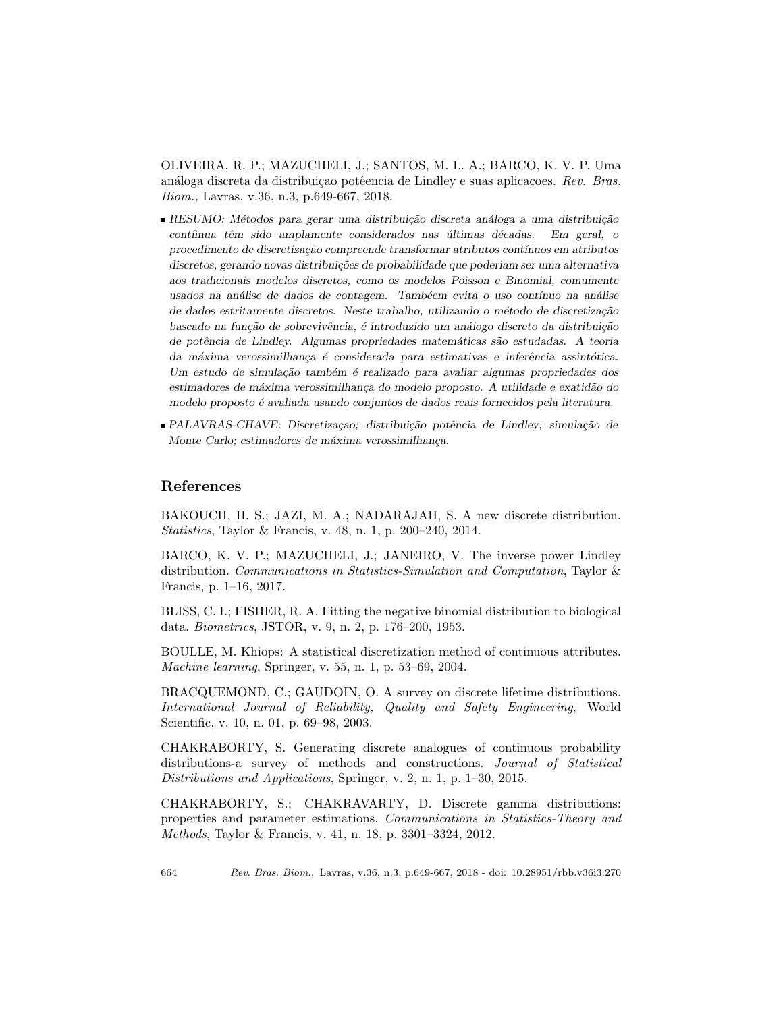OLIVEIRA, R. P.; MAZUCHELI, J.; SANTOS, M. L. A.; BARCO, K. V. P. Uma análoga discreta da distribuição potêencia de Lindley e suas aplicacoes. Rev. Bras. Biom., Lavras, v.36, n.3, p.649-667, 2018.

- RESUMO: Métodos para gerar uma distribuição discreta análoga a uma distribuição contíinua têm sido amplamente considerados nas últimas décadas. Em geral, o procedimento de discretização compreende transformar atributos contínuos em atributos discretos, gerando novas distribuições de probabilidade que poderiam ser uma alternativa aos tradicionais modelos discretos, como os modelos Poisson e Binomial, comumente usados na análise de dados de contagem. Tambéem evita o uso contínuo na análise de dados estritamente discretos. Neste trabalho, utilizando o método de discretização baseado na função de sobrevivência, é introduzido um análogo discreto da distribuição de potência de Lindley. Algumas propriedades matemáticas são estudadas. A teoria da máxima verossimilhança é considerada para estimativas e inferência assintótica. Um estudo de simulação também é realizado para avaliar algumas propriedades dos estimadores de máxima verossimilhança do modelo proposto. A utilidade e exatidão do modelo proposto ´e avaliada usando conjuntos de dados reais fornecidos pela literatura.
- PALAVRAS-CHAVE: Discretizacao; distribuição potência de Lindley; simulação de Monte Carlo; estimadores de máxima verossimilhança.

## References

BAKOUCH, H. S.; JAZI, M. A.; NADARAJAH, S. A new discrete distribution. Statistics, Taylor & Francis, v. 48, n. 1, p. 200–240, 2014.

BARCO, K. V. P.; MAZUCHELI, J.; JANEIRO, V. The inverse power Lindley distribution. Communications in Statistics-Simulation and Computation, Taylor & Francis, p. 1–16, 2017.

BLISS, C. I.; FISHER, R. A. Fitting the negative binomial distribution to biological data. Biometrics, JSTOR, v. 9, n. 2, p. 176–200, 1953.

BOULLE, M. Khiops: A statistical discretization method of continuous attributes. Machine learning, Springer, v. 55, n. 1, p. 53–69, 2004.

BRACQUEMOND, C.; GAUDOIN, O. A survey on discrete lifetime distributions. International Journal of Reliability, Quality and Safety Engineering, World Scientific, v. 10, n. 01, p. 69–98, 2003.

CHAKRABORTY, S. Generating discrete analogues of continuous probability distributions-a survey of methods and constructions. Journal of Statistical Distributions and Applications, Springer, v. 2, n. 1, p. 1–30, 2015.

CHAKRABORTY, S.; CHAKRAVARTY, D. Discrete gamma distributions: properties and parameter estimations. Communications in Statistics-Theory and Methods, Taylor & Francis, v. 41, n. 18, p. 3301–3324, 2012.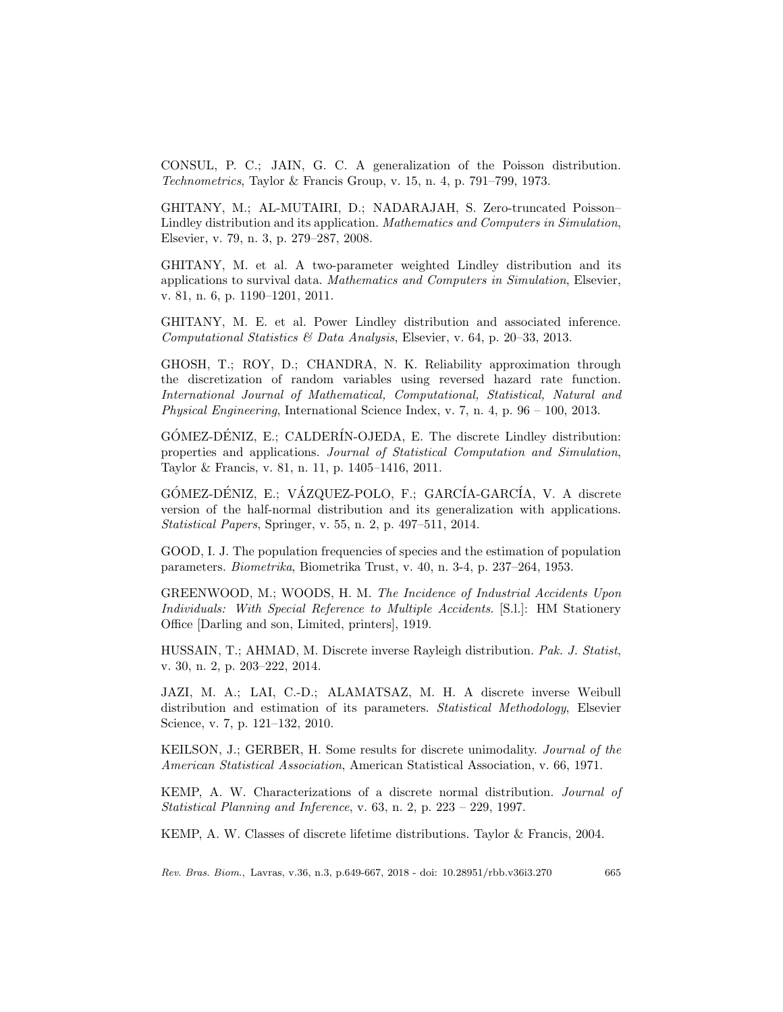CONSUL, P. C.; JAIN, G. C. A generalization of the Poisson distribution. Technometrics, Taylor & Francis Group, v. 15, n. 4, p. 791–799, 1973.

GHITANY, M.; AL-MUTAIRI, D.; NADARAJAH, S. Zero-truncated Poisson– Lindley distribution and its application. Mathematics and Computers in Simulation, Elsevier, v. 79, n. 3, p. 279–287, 2008.

GHITANY, M. et al. A two-parameter weighted Lindley distribution and its applications to survival data. Mathematics and Computers in Simulation, Elsevier, v. 81, n. 6, p. 1190–1201, 2011.

GHITANY, M. E. et al. Power Lindley distribution and associated inference. Computational Statistics & Data Analysis, Elsevier, v. 64, p. 20–33, 2013.

GHOSH, T.; ROY, D.; CHANDRA, N. K. Reliability approximation through the discretization of random variables using reversed hazard rate function. International Journal of Mathematical, Computational, Statistical, Natural and Physical Engineering, International Science Index, v. 7, n. 4, p. 96 – 100, 2013.

 $GÓMEZ-DÉNIZ, E.; CALDERÍN-OJEDA, E. The discrete Lindley distribution:$ properties and applications. Journal of Statistical Computation and Simulation, Taylor & Francis, v. 81, n. 11, p. 1405–1416, 2011.

GÓMEZ-DÉNIZ, E.; VÁZQUEZ-POLO, F.; GARCÍA-GARCÍA, V. A discrete version of the half-normal distribution and its generalization with applications. Statistical Papers, Springer, v. 55, n. 2, p. 497–511, 2014.

GOOD, I. J. The population frequencies of species and the estimation of population parameters. Biometrika, Biometrika Trust, v. 40, n. 3-4, p. 237–264, 1953.

GREENWOOD, M.; WOODS, H. M. The Incidence of Industrial Accidents Upon Individuals: With Special Reference to Multiple Accidents. [S.l.]: HM Stationery Office [Darling and son, Limited, printers], 1919.

HUSSAIN, T.; AHMAD, M. Discrete inverse Rayleigh distribution. Pak. J. Statist, v. 30, n. 2, p. 203–222, 2014.

JAZI, M. A.; LAI, C.-D.; ALAMATSAZ, M. H. A discrete inverse Weibull distribution and estimation of its parameters. Statistical Methodology, Elsevier Science, v. 7, p. 121–132, 2010.

KEILSON, J.; GERBER, H. Some results for discrete unimodality. Journal of the American Statistical Association, American Statistical Association, v. 66, 1971.

KEMP, A. W. Characterizations of a discrete normal distribution. Journal of Statistical Planning and Inference, v. 63, n. 2, p. 223 – 229, 1997.

KEMP, A. W. Classes of discrete lifetime distributions. Taylor & Francis, 2004.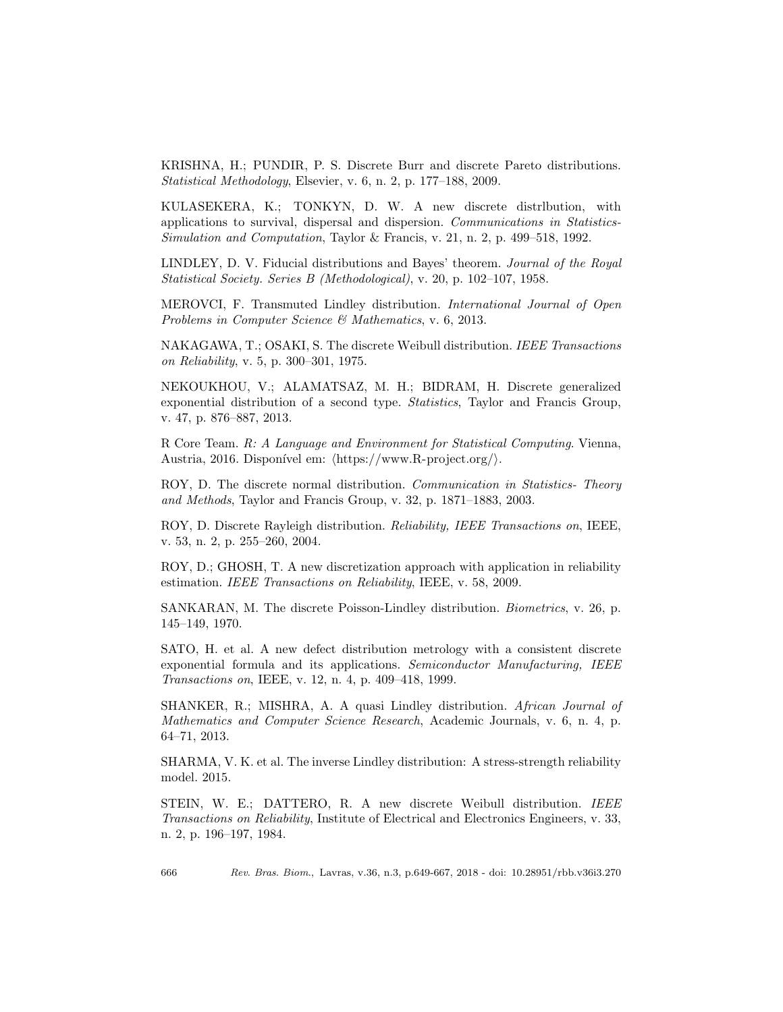KRISHNA, H.; PUNDIR, P. S. Discrete Burr and discrete Pareto distributions. Statistical Methodology, Elsevier, v. 6, n. 2, p. 177–188, 2009.

KULASEKERA, K.; TONKYN, D. W. A new discrete distrlbution, with applications to survival, dispersal and dispersion. Communications in Statistics-Simulation and Computation, Taylor & Francis, v. 21, n. 2, p. 499–518, 1992.

LINDLEY, D. V. Fiducial distributions and Bayes' theorem. Journal of the Royal Statistical Society. Series B (Methodological), v. 20, p. 102–107, 1958.

MEROVCI, F. Transmuted Lindley distribution. International Journal of Open Problems in Computer Science & Mathematics, v. 6, 2013.

NAKAGAWA, T.; OSAKI, S. The discrete Weibull distribution. IEEE Transactions on Reliability, v. 5, p. 300–301, 1975.

NEKOUKHOU, V.; ALAMATSAZ, M. H.; BIDRAM, H. Discrete generalized exponential distribution of a second type. Statistics, Taylor and Francis Group, v. 47, p. 876–887, 2013.

R Core Team. R: A Language and Environment for Statistical Computing. Vienna, Austria, 2016. Disponível em:  $\langle \text{https://www.R-project.org/}\rangle$ .

ROY, D. The discrete normal distribution. Communication in Statistics- Theory and Methods, Taylor and Francis Group, v. 32, p. 1871–1883, 2003.

ROY, D. Discrete Rayleigh distribution. Reliability, IEEE Transactions on, IEEE, v. 53, n. 2, p. 255–260, 2004.

ROY, D.; GHOSH, T. A new discretization approach with application in reliability estimation. IEEE Transactions on Reliability, IEEE, v. 58, 2009.

SANKARAN, M. The discrete Poisson-Lindley distribution. Biometrics, v. 26, p. 145–149, 1970.

SATO, H. et al. A new defect distribution metrology with a consistent discrete exponential formula and its applications. Semiconductor Manufacturing, IEEE Transactions on, IEEE, v. 12, n. 4, p. 409–418, 1999.

SHANKER, R.; MISHRA, A. A quasi Lindley distribution. African Journal of Mathematics and Computer Science Research, Academic Journals, v. 6, n. 4, p. 64–71, 2013.

SHARMA, V. K. et al. The inverse Lindley distribution: A stress-strength reliability model. 2015.

STEIN, W. E.; DATTERO, R. A new discrete Weibull distribution. IEEE Transactions on Reliability, Institute of Electrical and Electronics Engineers, v. 33, n. 2, p. 196–197, 1984.